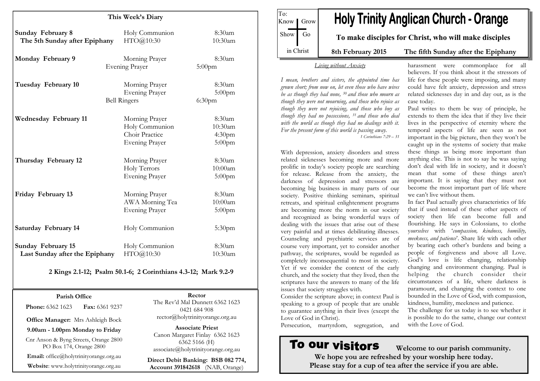| This Week's Diary                                           |                                                                             |                                                      |
|-------------------------------------------------------------|-----------------------------------------------------------------------------|------------------------------------------------------|
| Sunday February 8<br>The 5th Sunday after Epiphany          | Holy Communion<br>HTO@10:30                                                 | 8:30am<br>10:30am                                    |
| Monday February 9                                           | Morning Prayer<br><b>Evening Prayer</b>                                     | 8:30am<br>$5:00$ pm                                  |
| Tuesday February 10                                         | Morning Prayer<br><b>Evening Prayer</b><br><b>Bell Ringers</b>              | 8:30am<br>$5:00$ pm<br>6:30 <sub>pm</sub>            |
| <b>Wednesday February 11</b>                                | Morning Prayer<br>Holy Communion<br>Choir Practice<br><b>Evening Prayer</b> | 8:30am<br>10:30am<br>4:30 <sub>pm</sub><br>$5:00$ pm |
| Thursday February 12                                        | Morning Prayer<br>Holy Terrors<br><b>Evening Prayer</b>                     | 8:30am<br>10:00am<br>$5:00$ pm                       |
| Friday February 13                                          | Morning Prayer<br>AWA Morning Tea<br><b>Evening Prayer</b>                  | 8:30am<br>10:00am<br>$5:00$ pm                       |
| Saturday February 14                                        | Holy Communion                                                              | $5:30$ pm                                            |
| <b>Sunday February 15</b><br>Last Sunday after the Epiphany | Holy Communion<br>HTO@10:30                                                 | 8:30am<br>10:30am                                    |

#### 2 Kings 2.1-12; Psalm 50.1-6; 2 Corinthians 4.3-12; Mark 9.2-9

Parish Office **Phone: 6362 1623 Fax: 6361 9237** 

Office Manager: Mrs Ashleigh Bock

9.00am - 1.00pm Monday to Friday

Cnr Anson & Byng Streets, Orange 2800 PO Box 174, Orange 2800

Email: office@holytrinityorange.org.au

Website: www.holytrinityorange.org.au

Rector The Rev'd Mal Dunnett 6362 1623 0421 684 908 rector@holytrinityorange.org.au

Associate Priest Canon Margaret Finlay 6362 1623 6362 5166 (H) associate@holytrinityorange.org.au

Direct Debit Banking: BSB 082 774, Account 391842618 (NAB, Orange)

**Holy Trinity Anglican Church - Orange** Know *I* Grow Show Go To make disciples for Christ, who will make disciples in Christ 8th February 2015 The fifth Sunday after the Epiphany

#### Living without Anxiety

To:

I mean, brothers and sisters, the appointed time has grown short; from now on, let even those who have wives be as though they had none, <sup>30</sup> and those who mourn as though they were not mourning, and those who rejoice as though they were not rejoicing, and those who buy as though they had no possessions, <sup>31</sup> and those who deal with the world as though they had no dealings with it. For the present form of this world is passing away. 1 Corinthians 7:29 – 31

With depression, anxiety disorders and stress related sicknesses becoming more and more prolific in today's society people are searching for release. Release from the anxiety, the darkness of depression and stressors are becoming big business in many parts of our society. Positive thinking seminars, spiritual retreats, and spiritual enlightenment programs are becoming more the norm in our society and recognized as being wonderful ways of dealing with the issues that arise out of these very painful and at times debilitating illnesses. Counseling and psychiatric services are of course very important, yet to consider another pathway, the scriptures, would be regarded as completely inconsequential to most in society. Yet if we consider the context of the early church, and the society that they lived, then the scriptures have the answers to many of the life issues that society struggles with.

Consider the scripture above; in context Paul is speaking to a group of people that are unable to guarantee anything in their lives (except the Love of God in Christ).

Persecution, martyrdom, segregation, and

# To our visitors

 Welcome to our parish community. We hope you are refreshed by your worship here today. Please stay for a cup of tea after the service if you are able.

harassment were commonplace for all believers. If you think about it the stressors of life for these people were imposing, and many could have felt anxiety, depression and stress related sicknesses day in and day out, as is the case today.

 Paul writes to them be way of principle, he extends to them the idea that if they live their lives in the perspective of eternity where the temporal aspects of life are seen as not important in the big picture, then they won't be caught up in the systems of society that make these things as being more important than anything else. This is not to say he was saying don't deal with life in society, and it doesn't mean that some of these things aren't important. It is saying that they must not become the most important part of life where we can't live without them.

In fact Paul actually gives characteristics of life that if used instead of these other aspects of society then life can become full and flourishing. He says in Colossians, to clothe <sup>y</sup>ourselves with 'compassion, kindness, humility, meekness, and patience'. Share life with each other by bearing each other's burdens and being a people of forgiveness and above all Love. God's love is life changing, relationship changing and environment changing. Paul is helping the church consider their circumstances of a life, where darkness is paramount, and changing the context to one bounded in the Love of God, with compassion, kindness, humility, meekness and patience.

The challenge for us today is to see whether it is possible to do the same, change our context with the Love of God.